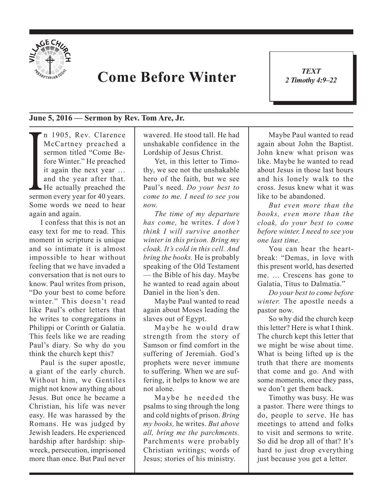

## **Come Before Winter**

*TEXT 2 Timothy 4:9–22* 1

## **June 5, 2016 — Sermon by Rev. Tom Are, Jr.**

fore Winter." He preached<br>it again the next year ...<br>and the year after that.<br>He actually preached the<br>sermon every year for 40 years. n 1905, Rev. Clarence McCartney preached a sermon titled "Come Before Winter." He preached it again the next year … and the year after that. He actually preached the Some words we need to hear again and again.

I confess that this is not an easy text for me to read. This moment in scripture is unique and so intimate it is almost impossible to hear without feeling that we have invaded a conversation that is not ours to know. Paul writes from prison, "Do your best to come before winter." This doesn't read like Paul's other letters that he writes to congregations in Philippi or Corinth or Galatia. This feels like we are reading Paul's diary. So why do you think the church kept this?

Paul is the super apostle, a giant of the early church. Without him, we Gentiles might not know anything about Jesus. But once he became a Christian, his life was never easy. He was harassed by the Romans. He was judged by Jewish leaders. He experienced hardship after hardship: shipwreck, persecution, imprisoned more than once. But Paul never

wavered. He stood tall. He had unshakable confidence in the Lordship of Jesus Christ.

Yet, in this letter to Timothy, we see not the unshakable hero of the faith, but we see Paul's need. *Do your best to come to me. I need to see you now.*

*The time of my departure has come,* he writes. *I don't think I will survive another winter in this prison. Bring my cloak. It's cold in this cell. And bring the books.* He is probably speaking of the Old Testament — the Bible of his day. Maybe he wanted to read again about Daniel in the lion's den

Maybe Paul wanted to read again about Moses leading the slaves out of Egypt.

Maybe he would draw strength from the story of Samson or find comfort in the suffering of Jeremiah. God's prophets were never immune to suffering. When we are suffering, it helps to know we are not alone.

Maybe he needed the psalms to sing through the long and cold nights of prison. *Bring my books,* he writes. *But above all, bring me the parchments.* Parchments were probably Christian writings; words of Jesus; stories of his ministry.

Maybe Paul wanted to read again about John the Baptist. John knew what prison was like. Maybe he wanted to read about Jesus in those last hours and his lonely walk to the cross. Jesus knew what it was like to be abandoned.

*But even more than the books, even more than the cloak, do your best to come before winter. I need to see you one last time.*

You can hear the heartbreak: "Demas, in love with this present world, has deserted me. … Crescens has gone to Galatia, Titus to Dalmatia."

*Do your best to come before winter.* The apostle needs a pastor now.

So why did the church keep this letter? Here is what I think. The church kept this letter that we might be wise about time. What is being lifted up is the truth that there are moments that come and go. And with some moments, once they pass, we don't get them back.

Timothy was busy. He was a pastor. There were things to do, people to serve. He has meetings to attend and folks to visit and sermons to write. So did he drop all of that? It's hard to just drop everything just because you get a letter.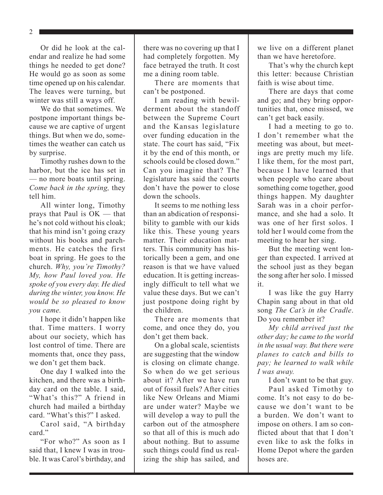2

Or did he look at the calendar and realize he had some things he needed to get done? He would go as soon as some time opened up on his calendar. The leaves were turning, but winter was still a ways off.

We do that sometimes. We postpone important things because we are captive of urgent things. But when we do, sometimes the weather can catch us by surprise.

Timothy rushes down to the harbor, but the ice has set in — no more boats until spring. *Come back in the spring,* they tell him.

All winter long, Timothy prays that Paul is OK — that he's not cold without his cloak; that his mind isn't going crazy without his books and parchments. He catches the first boat in spring. He goes to the church. *Why, you're Timothy? My, how Paul loved you. He spoke of you every day. He died during the winter, you know. He would be so pleased to know you came.*

I hope it didn't happen like that. Time matters. I worry about our society, which has lost control of time. There are moments that, once they pass, we don't get them back.

One day I walked into the kitchen, and there was a birthday card on the table. I said, "What's this?" A friend in church had mailed a birthday card. "What's this?" I asked.

Carol said, "A birthday card"

"For who?" As soon as I said that, I knew I was in trouble. It was Carol's birthday, and there was no covering up that I had completely forgotten. My face betrayed the truth. It cost me a dining room table.

There are moments that can't be postponed.

I am reading with bewilderment about the standoff between the Supreme Court and the Kansas legislature over funding education in the state. The court has said, "Fix it by the end of this month, or schools could be closed down." Can you imagine that? The legislature has said the courts don't have the power to close down the schools.

It seems to me nothing less than an abdication of responsibility to gamble with our kids like this. These young years matter. Their education matters. This community has historically been a gem, and one reason is that we have valued education. It is getting increasingly difficult to tell what we value these days. But we can't just postpone doing right by the children.

There are moments that come, and once they do, you don't get them back.

On a global scale, scientists are suggesting that the window is closing on climate change. So when do we get serious about it? After we have run out of fossil fuels? After cities like New Orleans and Miami are under water? Maybe we will develop a way to pull the carbon out of the atmosphere so that all of this is much ado about nothing. But to assume such things could find us realizing the ship has sailed, and we live on a different planet than we have heretofore.

That's why the church kept this letter: because Christian faith is wise about time.

There are days that come and go; and they bring opportunities that, once missed, we can't get back easily.

I had a meeting to go to. I don't remember what the meeting was about, but meetings are pretty much my life. I like them, for the most part, because I have learned that when people who care about something come together, good things happen. My daughter Sarah was in a choir performance, and she had a solo. It was one of her first solos. I told her I would come from the meeting to hear her sing.

But the meeting went longer than expected. I arrived at the school just as they began the song after her solo. I missed it.

I was like the guy Harry Chapin sang about in that old song *The Cat's in the Cradle*. Do you remember it?

*My child arrived just the other day; he came to the world in the usual way. But there were planes to catch and bills to pay; he learned to walk while I was away.* 

I don't want to be that guy.

Paul asked Timothy to come. It's not easy to do because we don't want to be a burden. We don't want to impose on others. I am so conflicted about that that I don't even like to ask the folks in Home Depot where the garden hoses are.